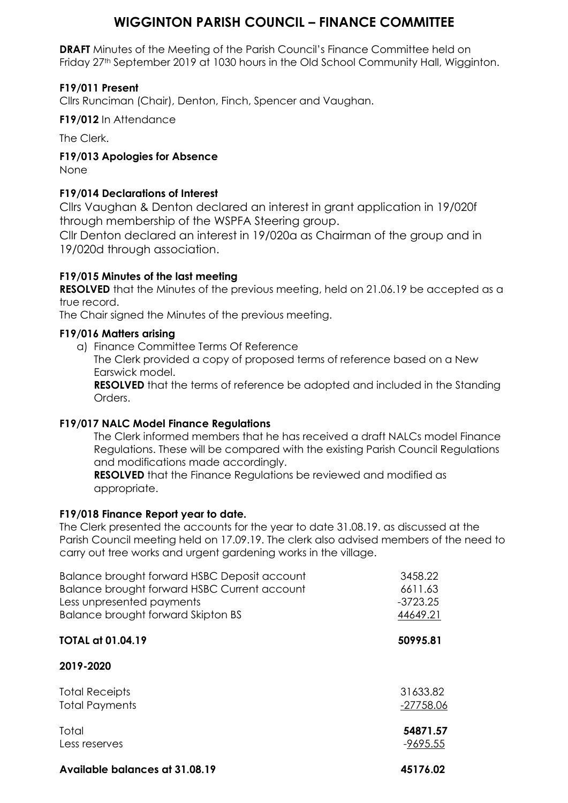# **WIGGINTON PARISH COUNCIL – FINANCE COMMITTEE**

**DRAFT** Minutes of the Meeting of the Parish Council's Finance Committee held on Friday 27<sup>th</sup> September 2019 at 1030 hours in the Old School Community Hall, Wigginton.

# **F19/011 Present**

Cllrs Runciman (Chair), Denton, Finch, Spencer and Vaughan.

**F19/012** In Attendance

The Clerk.

# **F19/013 Apologies for Absence**

None

# **F19/014 Declarations of Interest**

Cllrs Vaughan & Denton declared an interest in grant application in 19/020f through membership of the WSPFA Steering group.

Cllr Denton declared an interest in 19/020a as Chairman of the group and in 19/020d through association.

#### **F19/015 Minutes of the last meeting**

**RESOLVED** that the Minutes of the previous meeting, held on 21.06.19 be accepted as a true record.

The Chair signed the Minutes of the previous meeting.

#### **F19/016 Matters arising**

a) Finance Committee Terms Of Reference

The Clerk provided a copy of proposed terms of reference based on a New Earswick model.

**RESOLVED** that the terms of reference be adopted and included in the Standing Orders.

#### **F19/017 NALC Model Finance Regulations**

The Clerk informed members that he has received a draft NALCs model Finance Regulations. These will be compared with the existing Parish Council Regulations and modifications made accordingly.

**RESOLVED** that the Finance Regulations be reviewed and modified as appropriate.

#### **F19/018 Finance Report year to date.**

The Clerk presented the accounts for the year to date 31.08.19. as discussed at the Parish Council meeting held on 17.09.19. The clerk also advised members of the need to carry out tree works and urgent gardening works in the village.

| Balance brought forward HSBC Deposit account | 3458.22     |
|----------------------------------------------|-------------|
| Balance brought forward HSBC Current account | 6611.63     |
| Less unpresented payments                    | $-3723.25$  |
| Balance brought forward Skipton BS           | 44649.21    |
| <b>TOTAL at 01.04.19</b>                     | 50995.81    |
| 2019-2020                                    |             |
| <b>Total Receipts</b>                        | 31633.82    |
| <b>Total Payments</b>                        | $-27758.06$ |
| Total                                        | 54871.57    |
| Less reserves                                | -9695.55    |
| Available balances at 31.08.19               | 45176.02    |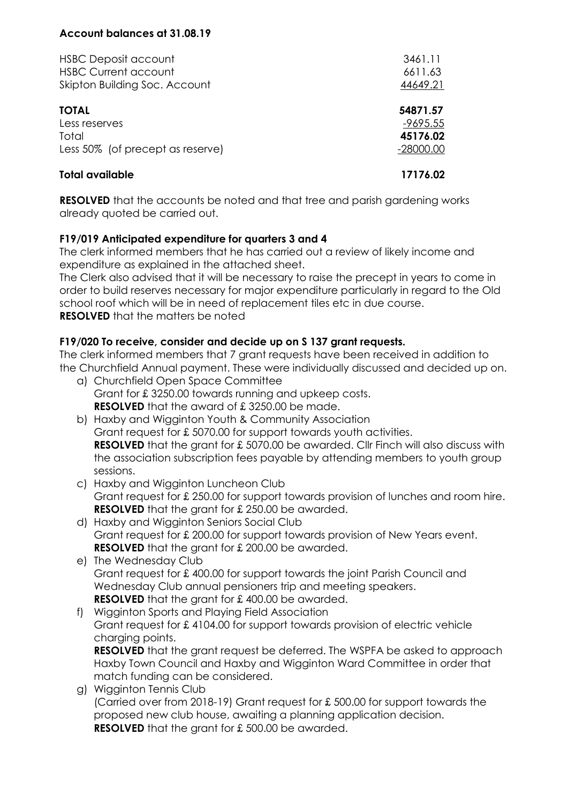#### **Account balances at 31.08.19**

| <b>HSBC Deposit account</b>      | 3461.11     |
|----------------------------------|-------------|
| <b>HSBC Current account</b>      | 6611.63     |
| Skipton Building Soc. Account    | 44649.21    |
| <b>TOTAL</b>                     | 54871.57    |
| Less reserves                    | $-9695.55$  |
| Total                            | 45176.02    |
| Less 50% (of precept as reserve) | $-28000.00$ |
| <b>Total available</b>           | 17176.02    |

**RESOLVED** that the accounts be noted and that tree and parish gardening works already quoted be carried out.

# **F19/019 Anticipated expenditure for quarters 3 and 4**

The clerk informed members that he has carried out a review of likely income and expenditure as explained in the attached sheet.

The Clerk also advised that it will be necessary to raise the precept in years to come in order to build reserves necessary for major expenditure particularly in regard to the Old school roof which will be in need of replacement tiles etc in due course. **RESOLVED** that the matters be noted

# **F19/020 To receive, consider and decide up on S 137 grant requests.**

The clerk informed members that 7 grant requests have been received in addition to the Churchfield Annual payment. These were individually discussed and decided up on.

- a) Churchfield Open Space Committee Grant for £ 3250.00 towards running and upkeep costs. **RESOLVED** that the award of £3250.00 be made.
- b) Haxby and Wigginton Youth & Community Association Grant request for £ 5070.00 for support towards youth activities. **RESOLVED** that the grant for £5070.00 be awarded. Cllr Finch will also discuss with the association subscription fees payable by attending members to youth group sessions.
- c) Haxby and Wigginton Luncheon Club Grant request for £ 250.00 for support towards provision of lunches and room hire. **RESOLVED** that the grant for £250.00 be awarded.
- d) Haxby and Wigginton Seniors Social Club Grant request for £ 200.00 for support towards provision of New Years event. **RESOLVED** that the grant for £ 200.00 be awarded.
- e) The Wednesday Club Grant request for £ 400.00 for support towards the joint Parish Council and Wednesday Club annual pensioners trip and meeting speakers. **RESOLVED** that the grant for £400.00 be awarded.
- f) Wigginton Sports and Playing Field Association Grant request for £ 4104.00 for support towards provision of electric vehicle charging points.

**RESOLVED** that the grant request be deferred. The WSPFA be asked to approach Haxby Town Council and Haxby and Wigginton Ward Committee in order that match funding can be considered.

g) Wigginton Tennis Club (Carried over from 2018-19) Grant request for £ 500.00 for support towards the proposed new club house, awaiting a planning application decision. **RESOLVED** that the grant for £500.00 be awarded.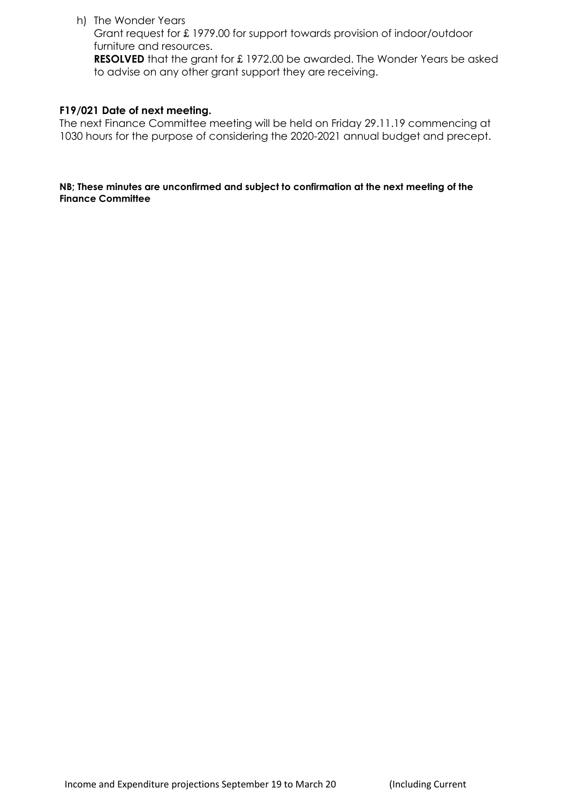h) The Wonder Years

Grant request for £ 1979.00 for support towards provision of indoor/outdoor furniture and resources.

**RESOLVED** that the grant for £ 1972.00 be awarded. The Wonder Years be asked to advise on any other grant support they are receiving.

#### **F19/021 Date of next meeting.**

The next Finance Committee meeting will be held on Friday 29.11.19 commencing at 1030 hours for the purpose of considering the 2020-2021 annual budget and precept.

**NB; These minutes are unconfirmed and subject to confirmation at the next meeting of the Finance Committee**